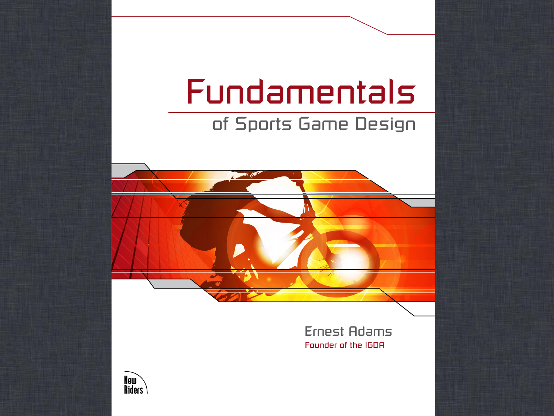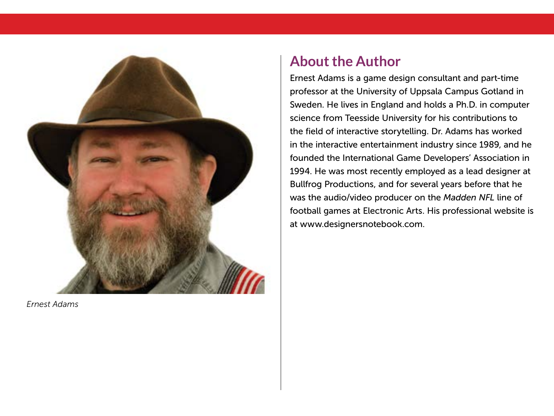

*Ernest Adams*

#### **About the Author**

Ernest Adams is a game design consultant and part-time professor at the University of Uppsala Campus Gotland in Sweden. He lives in England and holds a Ph.D. in computer science from Teesside University for his contributions to the field of interactive storytelling. Dr. Adams has worked in the interactive entertainment industry since 1989, and he founded the International Game Developers' Association in 1994. He was most recently employed as a lead designer at Bullfrog Productions, and for several years before that he was the audio/video producer on the *Madden NFL* line of football games at Electronic Arts. His professional website is at [www.designersnotebook.com.](www.designersnotebook.com)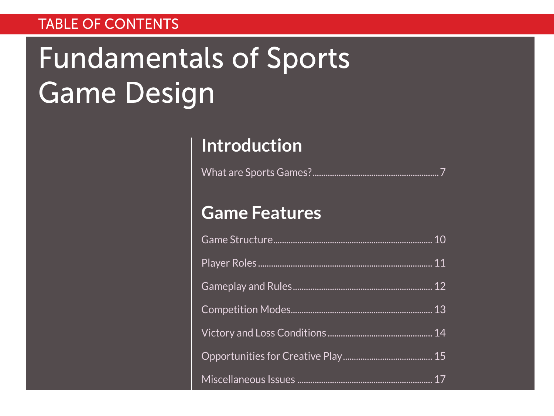### <span id="page-2-0"></span>TABLE OF CONTENTS

# Fundamentals of Sports Game Design

# **[Introduction](#page-5-0)**

[What are Sports Games?..........................................................7](#page-6-0)

## **[Game Features](#page--1-0)**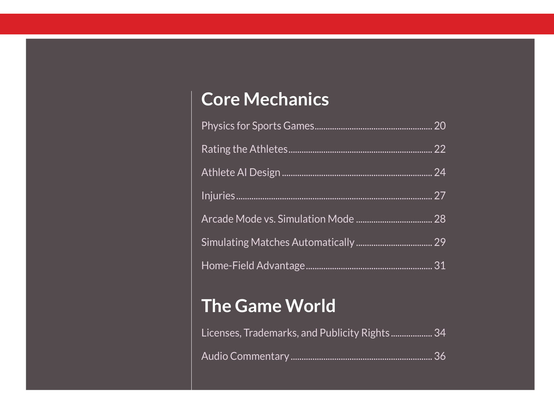## **[Core Mechanics](#page--1-0)**

# **[The Game World](#page--1-0)**

| Licenses, Trademarks, and Publicity Rights 34 |  |
|-----------------------------------------------|--|
|                                               |  |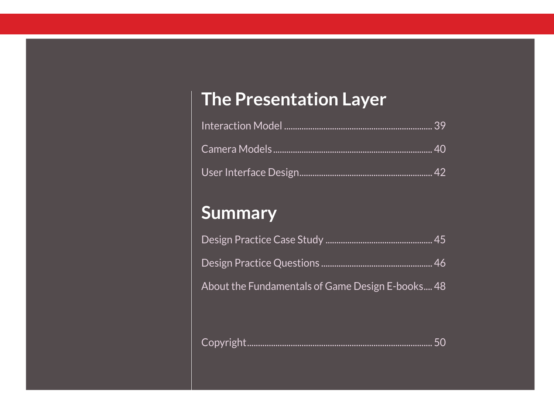# <span id="page-4-0"></span>**[The Presentation Layer](#page-7-0)**

# **[Summary](#page--1-0)**

| About the Fundamentals of Game Design E-books48 |  |
|-------------------------------------------------|--|

|--|--|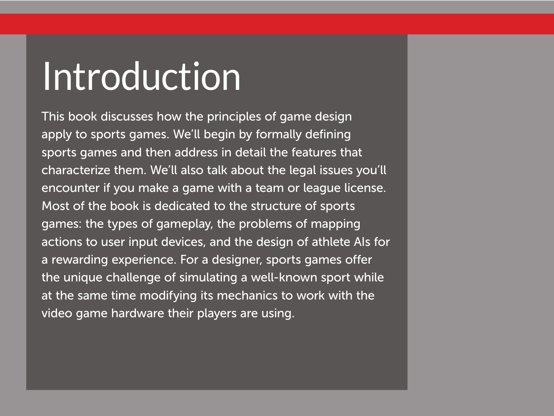# <span id="page-5-0"></span>[Introduction](#page-2-0)

This book discusses how the principles of game design apply to sports games. We'll begin by formally defining sports games and then address in detail the features that characterize them. We'll also talk about the legal issues you'll encounter if you make a game with a team or league license. Most of the book is dedicated to the structure of sports games: the types of gameplay, the problems of mapping actions to user input devices, and the design of athlete AIs for a rewarding experience. For a designer, sports games offer the unique challenge of simulating a well-known sport while at the same time modifying its mechanics to work with the video game hardware their players are using.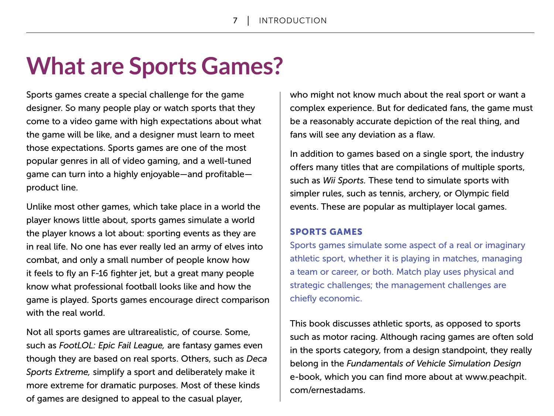# <span id="page-6-0"></span>**[What are Sports Games?](#page-2-0)**

Sports games create a special challenge for the game designer. So many people play or watch sports that they come to a video game with high expectations about what the game will be like, and a designer must learn to meet those expectations. Sports games are one of the most popular genres in all of video gaming, and a well-tuned game can turn into a highly enjoyable—and profitable product line.

Unlike most other games, which take place in a world the player knows little about, sports games simulate a world the player knows a lot about: sporting events as they are in real life. No one has ever really led an army of elves into combat, and only a small number of people know how it feels to fly an F-16 fighter jet, but a great many people know what professional football looks like and how the game is played. Sports games encourage direct comparison with the real world.

Not all sports games are ultrarealistic, of course. Some, such as *FootLOL: Epic Fail League,* are fantasy games even though they are based on real sports. Others, such as *Deca Sports Extreme,* simplify a sport and deliberately make it more extreme for dramatic purposes. Most of these kinds of games are designed to appeal to the casual player,

who might not know much about the real sport or want a complex experience. But for dedicated fans, the game must be a reasonably accurate depiction of the real thing, and fans will see any deviation as a flaw.

In addition to games based on a single sport, the industry offers many titles that are compilations of multiple sports, such as *Wii Sports.* These tend to simulate sports with simpler rules, such as tennis, archery, or Olympic field events. These are popular as multiplayer local games.

#### Sports Games

Sports games simulate some aspect of a real or imaginary athletic sport, whether it is playing in matches, managing a team or career, or both. Match play uses physical and strategic challenges; the management challenges are chiefly economic.

This book discusses athletic sports, as opposed to sports such as motor racing. Although racing games are often sold in the sports category, from a design standpoint, they really belong in the *Fundamentals of Vehicle Simulation Design* e-book, which you can find more about at [www.peachpit.](www.peachpit.com/ernestadams) [com/ernestadams.](www.peachpit.com/ernestadams)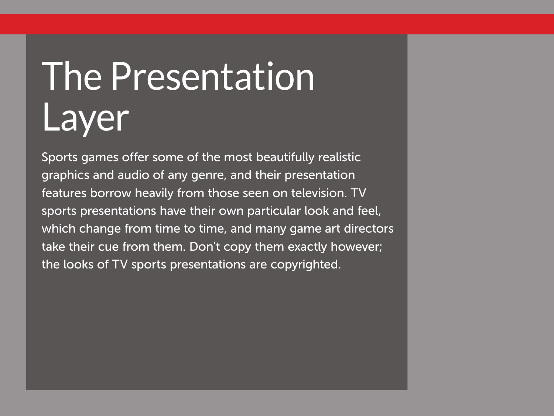# <span id="page-7-0"></span>[The Presentation](#page-4-0) **Layer**

Sports games offer some of the most beautifully realistic graphics and audio of any genre, and their presentation features borrow heavily from those seen on television. TV sports presentations have their own particular look and feel, which change from time to time, and many game art directors take their cue from them. Don't copy them exactly however; the looks of TV sports presentations are copyrighted.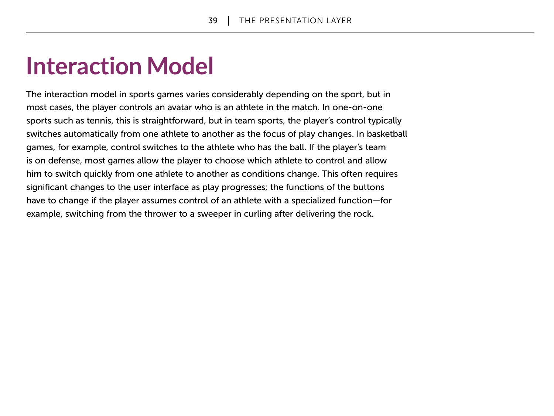# <span id="page-8-0"></span>**[Interaction Model](#page-4-0)**

The interaction model in sports games varies considerably depending on the sport, but in most cases, the player controls an avatar who is an athlete in the match. In one-on-one sports such as tennis, this is straightforward, but in team sports, the player's control typically switches automatically from one athlete to another as the focus of play changes. In basketball games, for example, control switches to the athlete who has the ball. If the player's team is on defense, most games allow the player to choose which athlete to control and allow him to switch quickly from one athlete to another as conditions change. This often requires significant changes to the user interface as play progresses; the functions of the buttons have to change if the player assumes control of an athlete with a specialized function—for example, switching from the thrower to a sweeper in curling after delivering the rock.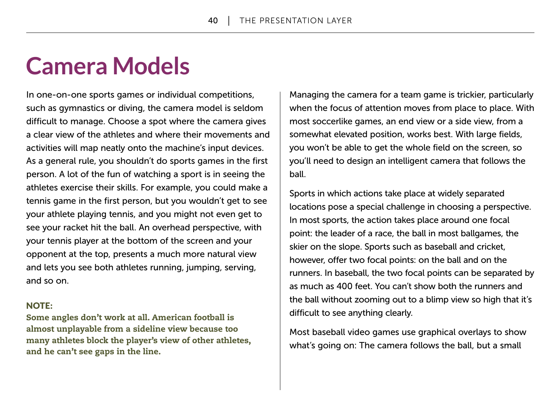# <span id="page-9-0"></span>**[Camera Models](#page-4-0)**

In one-on-one sports games or individual competitions, such as gymnastics or diving, the camera model is seldom difficult to manage. Choose a spot where the camera gives a clear view of the athletes and where their movements and activities will map neatly onto the machine's input devices. As a general rule, you shouldn't do sports games in the first person. A lot of the fun of watching a sport is in seeing the athletes exercise their skills. For example, you could make a tennis game in the first person, but you wouldn't get to see your athlete playing tennis, and you might not even get to see your racket hit the ball. An overhead perspective, with your tennis player at the bottom of the screen and your opponent at the top, presents a much more natural view and lets you see both athletes running, jumping, serving, and so on.

#### NOTE:

Some angles don't work at all. American football is almost unplayable from a sideline view because too many athletes block the player's view of other athletes, and he can't see gaps in the line.

Managing the camera for a team game is trickier, particularly when the focus of attention moves from place to place. With most soccerlike games, an end view or a side view, from a somewhat elevated position, works best. With large fields, you won't be able to get the whole field on the screen, so you'll need to design an intelligent camera that follows the ball.

Sports in which actions take place at widely separated locations pose a special challenge in choosing a perspective. In most sports, the action takes place around one focal point: the leader of a race, the ball in most ballgames, the skier on the slope. Sports such as baseball and cricket, however, offer two focal points: on the ball and on the runners. In baseball, the two focal points can be separated by as much as 400 feet. You can't show both the runners and the ball without zooming out to a blimp view so high that it's difficult to see anything clearly.

Most baseball video games use graphical overlays to show what's going on: The camera follows the ball, but a small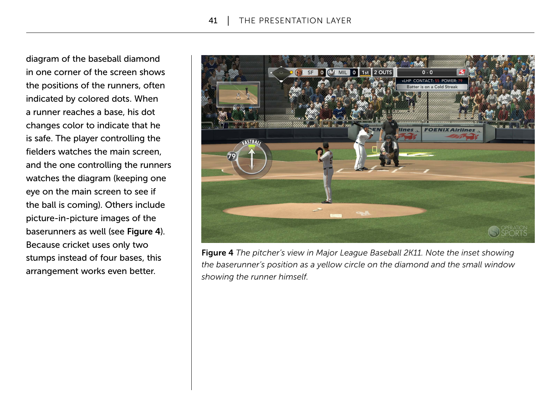diagram of the baseball diamond in one corner of the screen shows the positions of the runners, often indicated by colored dots. When a runner reaches a base, his dot changes color to indicate that he is safe. The player controlling the fielders watches the main screen, and the one controlling the runners watches the diagram (keeping one eye on the main screen to see if the ball is coming). Others include picture-in-picture images of the baserunners as well (see Figure 4). Because cricket uses only two stumps instead of four bases, this arrangement works even better.



Figure 4 *The pitcher's view in Major League Baseball 2K11. Note the inset showing the baserunner's position as a yellow circle on the diamond and the small window showing the runner himself.*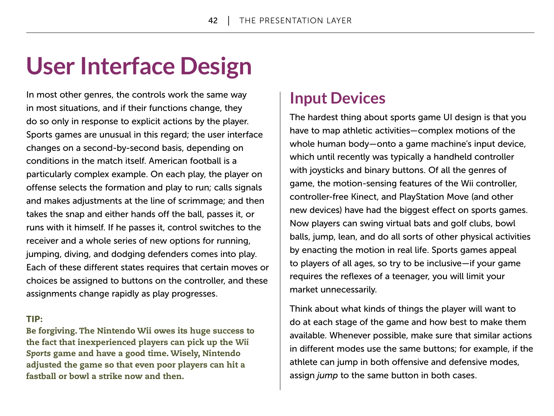# <span id="page-11-0"></span>**[User Interface Design](#page-4-0)**

In most other genres, the controls work the same way in most situations, and if their functions change, they do so only in response to explicit actions by the player. Sports games are unusual in this regard; the user interface changes on a second-by-second basis, depending on conditions in the match itself. American football is a particularly complex example. On each play, the player on offense selects the formation and play to run; calls signals and makes adjustments at the line of scrimmage; and then takes the snap and either hands off the ball, passes it, or runs with it himself. If he passes it, control switches to the receiver and a whole series of new options for running, jumping, diving, and dodging defenders comes into play. Each of these different states requires that certain moves or choices be assigned to buttons on the controller, and these assignments change rapidly as play progresses.

#### TIP:

Be forgiving. The Nintendo Wii owes its huge success to the fact that inexperienced players can pick up the *Wii Sports* game and have a good time. Wisely, Nintendo adjusted the game so that even poor players can hit a fastball or bowl a strike now and then.

### **Input Devices**

The hardest thing about sports game UI design is that you have to map athletic activities—complex motions of the whole human body—onto a game machine's input device, which until recently was typically a handheld controller with joysticks and binary buttons. Of all the genres of game, the motion-sensing features of the Wii controller, controller-free Kinect, and PlayStation Move (and other new devices) have had the biggest effect on sports games. Now players can swing virtual bats and golf clubs, bowl balls, jump, lean, and do all sorts of other physical activities by enacting the motion in real life. Sports games appeal to players of all ages, so try to be inclusive—if your game requires the reflexes of a teenager, you will limit your market unnecessarily.

Think about what kinds of things the player will want to do at each stage of the game and how best to make them available. Whenever possible, make sure that similar actions in different modes use the same buttons; for example, if the athlete can jump in both offensive and defensive modes, assign *jump* to the same button in both cases.